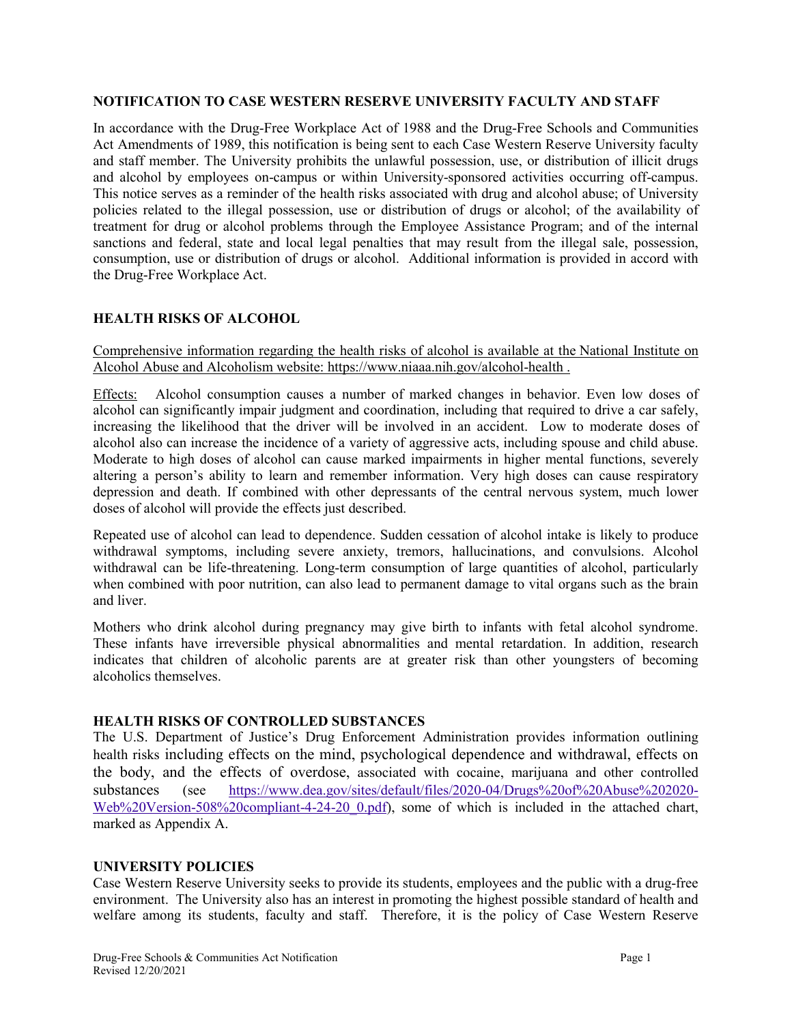#### **NOTIFICATION TO CASE WESTERN RESERVE UNIVERSITY FACULTY AND STAFF**

In accordance with the Drug-Free Workplace Act of 1988 and the Drug-Free Schools and Communities Act Amendments of 1989, this notification is being sent to each Case Western Reserve University faculty and staff member. The University prohibits the unlawful possession, use, or distribution of illicit drugs and alcohol by employees on-campus or within University-sponsored activities occurring off-campus. This notice serves as a reminder of the health risks associated with drug and alcohol abuse; of University policies related to the illegal possession, use or distribution of drugs or alcohol; of the availability of treatment for drug or alcohol problems through the Employee Assistance Program; and of the internal sanctions and federal, state and local legal penalties that may result from the illegal sale, possession, consumption, use or distribution of drugs or alcohol. Additional information is provided in accord with the Drug-Free Workplace Act.

### **HEALTH RISKS OF ALCOHOL**

Comprehensive information regarding the health risks of alcohol is available at the [National Institute on](https://www.niaaa.nih.gov/alcohol-health)  [Alcohol Abuse and Alcoholism](https://www.niaaa.nih.gov/alcohol-health) website:<https://www.niaaa.nih.gov/alcohol-health> .

Effects: Alcohol consumption causes a number of marked changes in behavior. Even low doses of alcohol can significantly impair judgment and coordination, including that required to drive a car safely, increasing the likelihood that the driver will be involved in an accident. Low to moderate doses of alcohol also can increase the incidence of a variety of aggressive acts, including spouse and child abuse. Moderate to high doses of alcohol can cause marked impairments in higher mental functions, severely altering a person's ability to learn and remember information. Very high doses can cause respiratory depression and death. If combined with other depressants of the central nervous system, much lower doses of alcohol will provide the effects just described.

Repeated use of alcohol can lead to dependence. Sudden cessation of alcohol intake is likely to produce withdrawal symptoms, including severe anxiety, tremors, hallucinations, and convulsions. Alcohol withdrawal can be life-threatening. Long-term consumption of large quantities of alcohol, particularly when combined with poor nutrition, can also lead to permanent damage to vital organs such as the brain and liver.

Mothers who drink alcohol during pregnancy may give birth to infants with fetal alcohol syndrome. These infants have irreversible physical abnormalities and mental retardation. In addition, research indicates that children of alcoholic parents are at greater risk than other youngsters of becoming alcoholics themselves.

#### **HEALTH RISKS OF CONTROLLED SUBSTANCES**

The U.S. Department of Justice's Drug Enforcement Administration provides information outlining health risks including effects on the mind, psychological dependence and withdrawal, effects on the body, and the effects of overdose, associated with cocaine, marijuana and other controlled substances (see [https://www.dea.gov/sites/default/files/2020-04/Drugs%20of%20Abuse%202020-](https://www.dea.gov/sites/default/files/2020-04/Drugs%20of%20Abuse%202020-Web%20Version-508%20compliant-4-24-20_0.pdf) [Web%20Version-508%20compliant-4-24-20\\_0.pdf\)](https://www.dea.gov/sites/default/files/2020-04/Drugs%20of%20Abuse%202020-Web%20Version-508%20compliant-4-24-20_0.pdf), some of which is included in the attached chart, marked as Appendix A.

#### **UNIVERSITY POLICIES**

Case Western Reserve University seeks to provide its students, employees and the public with a drug-free environment. The University also has an interest in promoting the highest possible standard of health and welfare among its students, faculty and staff. Therefore, it is the policy of Case Western Reserve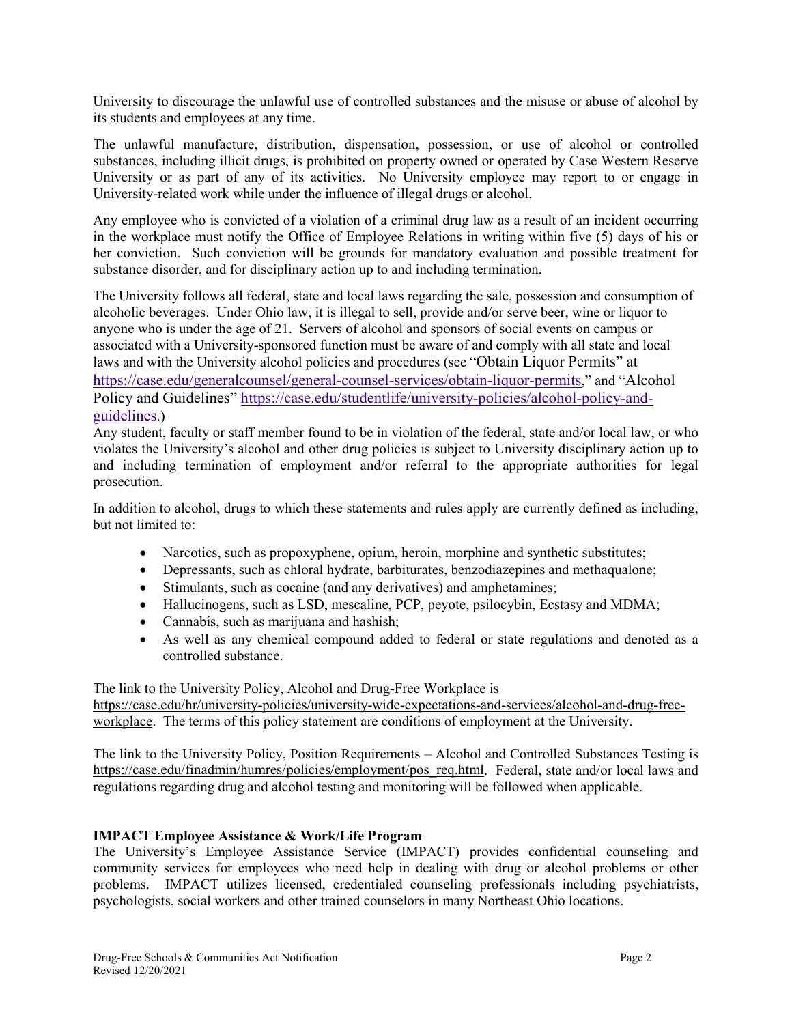University to discourage the unlawful use of controlled substances and the misuse or abuse of alcohol by its students and employees at any time.

The unlawful manufacture, distribution, dispensation, possession, or use of alcohol or controlled substances, including illicit drugs, is prohibited on property owned or operated by Case Western Reserve University or as part of any of its activities. No University employee may report to or engage in University-related work while under the influence of illegal drugs or alcohol.

Any employee who is convicted of a violation of a criminal drug law as a result of an incident occurring in the workplace must notify the Office of Employee Relations in writing within five (5) days of his or her conviction. Such conviction will be grounds for mandatory evaluation and possible treatment for substance disorder, and for disciplinary action up to and including termination.

The University follows all federal, state and local laws regarding the sale, possession and consumption of alcoholic beverages. Under Ohio law, it is illegal to sell, provide and/or serve beer, wine or liquor to anyone who is under the age of 21. Servers of alcohol and sponsors of social events on campus or associated with a University-sponsored function must be aware of and comply with all state and local laws and with the University alcohol policies and procedures (see "Obtain Liquor Permits" at [https://case.edu/generalcounsel/general-counsel-services/obtain-liquor-permits,](https://case.edu/generalcounsel/general-counsel-services/obtain-liquor-permits)" and "Alcohol Policy and Guidelines" [https://case.edu/studentlife/university-policies/alcohol-policy-and](https://case.edu/studentlife/university-policies/alcohol-policy-and-guidelines)[guidelines.\)](https://case.edu/studentlife/university-policies/alcohol-policy-and-guidelines)

Any student, faculty or staff member found to be in violation of the federal, state and/or local law, or who violates the University's alcohol and other drug policies is subject to University disciplinary action up to and including termination of employment and/or referral to the appropriate authorities for legal prosecution.

In addition to alcohol, drugs to which these statements and rules apply are currently defined as including, but not limited to:

- Narcotics, such as propoxyphene, opium, heroin, morphine and synthetic substitutes;
- Depressants, such as chloral hydrate, barbiturates, benzodiazepines and methaqualone;
- Stimulants, such as cocaine (and any derivatives) and amphetamines;
- Hallucinogens, such as LSD, mescaline, PCP, peyote, psilocybin, Ecstasy and MDMA;
- Cannabis, such as marijuana and hashish;
- As well as any chemical compound added to federal or state regulations and denoted as a controlled substance.

The link to the University Policy, Alcohol and Drug-Free Workplace is [https://case.edu/hr/university-policies/university-wide-expectations-and-services/alcohol-and-drug-free](https://case.edu/hr/university-policies/university-wide-expectations-and-services/alcohol-and-drug-free-workplace)[workplace.](https://case.edu/hr/university-policies/university-wide-expectations-and-services/alcohol-and-drug-free-workplace) The terms of this policy statement are conditions of employment at the University.

The link to the University Policy, Position Requirements – Alcohol and Controlled Substances Testing is [https://case.edu/finadmin/humres/policies/employment/pos\\_req.html.](https://case.edu/finadmin/humres/policies/employment/pos_req.html) Federal, state and/or local laws and regulations regarding drug and alcohol testing and monitoring will be followed when applicable.

### **IMPACT Employee Assistance & Work/Life Program**

The University's Employee Assistance Service (IMPACT) provides confidential counseling and community services for employees who need help in dealing with drug or alcohol problems or other problems. IMPACT utilizes licensed, credentialed counseling professionals including psychiatrists, psychologists, social workers and other trained counselors in many Northeast Ohio locations.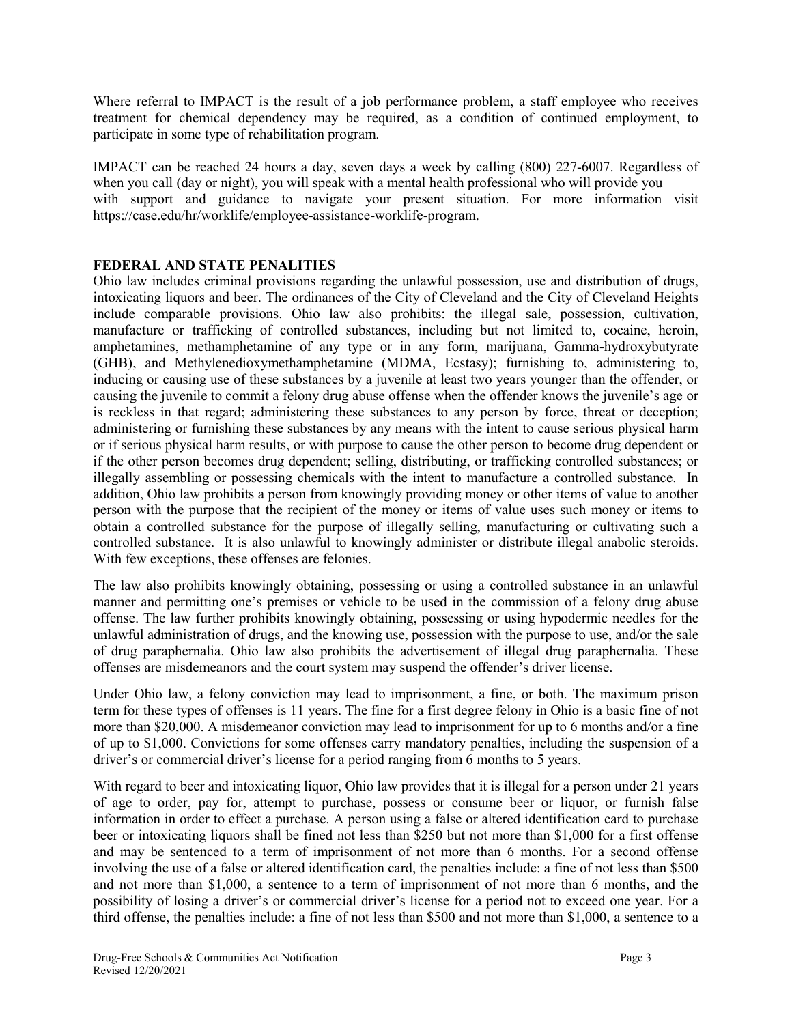Where referral to IMPACT is the result of a job performance problem, a staff employee who receives treatment for chemical dependency may be required, as a condition of continued employment, to participate in some type of rehabilitation program.

IMPACT can be reached 24 hours a day, seven days a week by calling (800) 227-6007. Regardless of when you call (day or night), you will speak with a mental health professional who will provide you with support and guidance to navigate your present situation. For more information visit https://case.edu/hr/worklife/employee-assistance-worklife-program.

#### **FEDERAL AND STATE PENALITIES**

Ohio law includes criminal provisions regarding the unlawful possession, use and distribution of drugs, intoxicating liquors and beer. The ordinances of the City of Cleveland and the City of Cleveland Heights include comparable provisions. Ohio law also prohibits: the illegal sale, possession, cultivation, manufacture or trafficking of controlled substances, including but not limited to, cocaine, heroin, amphetamines, methamphetamine of any type or in any form, marijuana, Gamma-hydroxybutyrate (GHB), and Methylenedioxymethamphetamine (MDMA, Ecstasy); furnishing to, administering to, inducing or causing use of these substances by a juvenile at least two years younger than the offender, or causing the juvenile to commit a felony drug abuse offense when the offender knows the juvenile's age or is reckless in that regard; administering these substances to any person by force, threat or deception; administering or furnishing these substances by any means with the intent to cause serious physical harm or if serious physical harm results, or with purpose to cause the other person to become drug dependent or if the other person becomes drug dependent; selling, distributing, or trafficking controlled substances; or illegally assembling or possessing chemicals with the intent to manufacture a controlled substance. In addition, Ohio law prohibits a person from knowingly providing money or other items of value to another person with the purpose that the recipient of the money or items of value uses such money or items to obtain a controlled substance for the purpose of illegally selling, manufacturing or cultivating such a controlled substance. It is also unlawful to knowingly administer or distribute illegal anabolic steroids. With few exceptions, these offenses are felonies.

The law also prohibits knowingly obtaining, possessing or using a controlled substance in an unlawful manner and permitting one's premises or vehicle to be used in the commission of a felony drug abuse offense. The law further prohibits knowingly obtaining, possessing or using hypodermic needles for the unlawful administration of drugs, and the knowing use, possession with the purpose to use, and/or the sale of drug paraphernalia. Ohio law also prohibits the advertisement of illegal drug paraphernalia. These offenses are misdemeanors and the court system may suspend the offender's driver license.

Under Ohio law, a felony conviction may lead to imprisonment, a fine, or both. The maximum prison term for these types of offenses is 11 years. The fine for a first degree felony in Ohio is a basic fine of not more than \$20,000. A misdemeanor conviction may lead to imprisonment for up to 6 months and/or a fine of up to \$1,000. Convictions for some offenses carry mandatory penalties, including the suspension of a driver's or commercial driver's license for a period ranging from 6 months to 5 years.

With regard to beer and intoxicating liquor, Ohio law provides that it is illegal for a person under 21 years of age to order, pay for, attempt to purchase, possess or consume beer or liquor, or furnish false information in order to effect a purchase. A person using a false or altered identification card to purchase beer or intoxicating liquors shall be fined not less than \$250 but not more than \$1,000 for a first offense and may be sentenced to a term of imprisonment of not more than 6 months. For a second offense involving the use of a false or altered identification card, the penalties include: a fine of not less than \$500 and not more than \$1,000, a sentence to a term of imprisonment of not more than 6 months, and the possibility of losing a driver's or commercial driver's license for a period not to exceed one year. For a third offense, the penalties include: a fine of not less than \$500 and not more than \$1,000, a sentence to a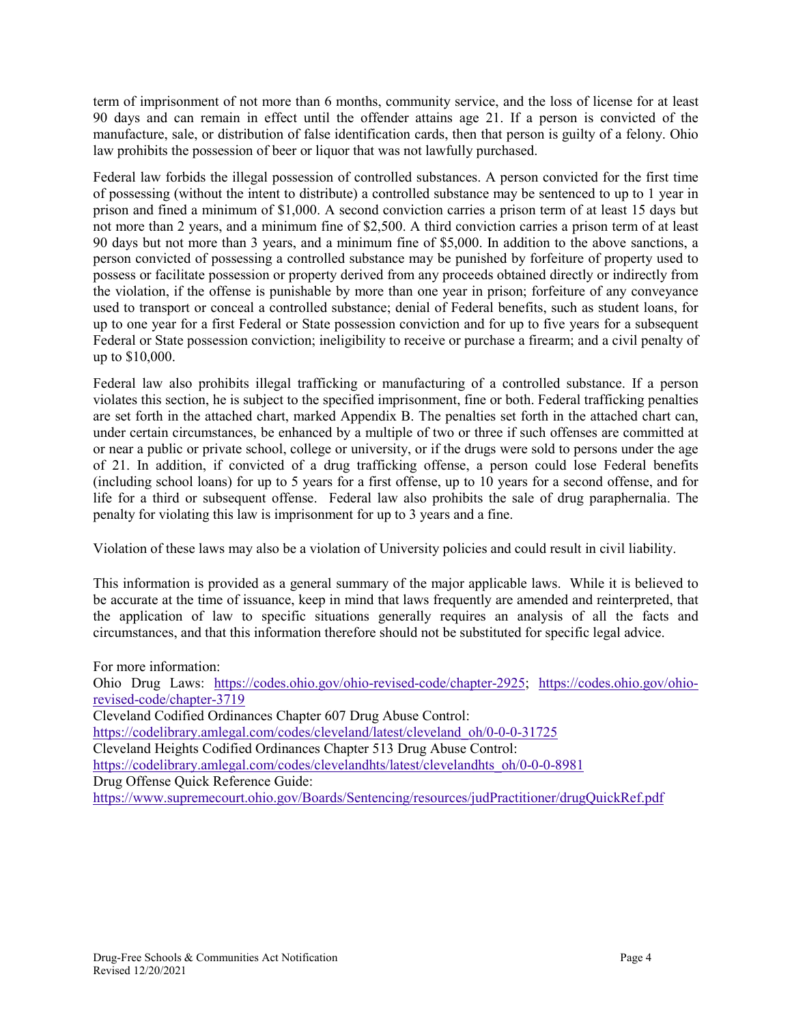term of imprisonment of not more than 6 months, community service, and the loss of license for at least 90 days and can remain in effect until the offender attains age 21. If a person is convicted of the manufacture, sale, or distribution of false identification cards, then that person is guilty of a felony. Ohio law prohibits the possession of beer or liquor that was not lawfully purchased.

Federal law forbids the illegal possession of controlled substances. A person convicted for the first time of possessing (without the intent to distribute) a controlled substance may be sentenced to up to 1 year in prison and fined a minimum of \$1,000. A second conviction carries a prison term of at least 15 days but not more than 2 years, and a minimum fine of \$2,500. A third conviction carries a prison term of at least 90 days but not more than 3 years, and a minimum fine of \$5,000. In addition to the above sanctions, a person convicted of possessing a controlled substance may be punished by forfeiture of property used to possess or facilitate possession or property derived from any proceeds obtained directly or indirectly from the violation, if the offense is punishable by more than one year in prison; forfeiture of any conveyance used to transport or conceal a controlled substance; denial of Federal benefits, such as student loans, for up to one year for a first Federal or State possession conviction and for up to five years for a subsequent Federal or State possession conviction; ineligibility to receive or purchase a firearm; and a civil penalty of up to \$10,000.

Federal law also prohibits illegal trafficking or manufacturing of a controlled substance. If a person violates this section, he is subject to the specified imprisonment, fine or both. Federal trafficking penalties are set forth in the attached chart, marked Appendix B. The penalties set forth in the attached chart can, under certain circumstances, be enhanced by a multiple of two or three if such offenses are committed at or near a public or private school, college or university, or if the drugs were sold to persons under the age of 21. In addition, if convicted of a drug trafficking offense, a person could lose Federal benefits (including school loans) for up to 5 years for a first offense, up to 10 years for a second offense, and for life for a third or subsequent offense. Federal law also prohibits the sale of drug paraphernalia. The penalty for violating this law is imprisonment for up to 3 years and a fine.

Violation of these laws may also be a violation of University policies and could result in civil liability.

This information is provided as a general summary of the major applicable laws. While it is believed to be accurate at the time of issuance, keep in mind that laws frequently are amended and reinterpreted, that the application of law to specific situations generally requires an analysis of all the facts and circumstances, and that this information therefore should not be substituted for specific legal advice.

For more information: Ohio Drug Laws: [https://codes.ohio.gov/ohio-revised-code/chapter-2925;](https://codes.ohio.gov/ohio-revised-code/chapter-2925) [https://codes.ohio.gov/ohio](https://codes.ohio.gov/ohio-revised-code/chapter-3719)[revised-code/chapter-3719](https://codes.ohio.gov/ohio-revised-code/chapter-3719) Cleveland Codified Ordinances Chapter 607 Drug Abuse Control: [https://codelibrary.amlegal.com/codes/cleveland/latest/cleveland\\_oh/0-0-0-31725](https://codelibrary.amlegal.com/codes/cleveland/latest/cleveland_oh/0-0-0-31725) Cleveland Heights Codified Ordinances Chapter 513 Drug Abuse Control: [https://codelibrary.amlegal.com/codes/clevelandhts/latest/clevelandhts\\_oh/0-0-0-8981](https://codelibrary.amlegal.com/codes/clevelandhts/latest/clevelandhts_oh/0-0-0-8981) Drug Offense Quick Reference Guide: <https://www.supremecourt.ohio.gov/Boards/Sentencing/resources/judPractitioner/drugQuickRef.pdf>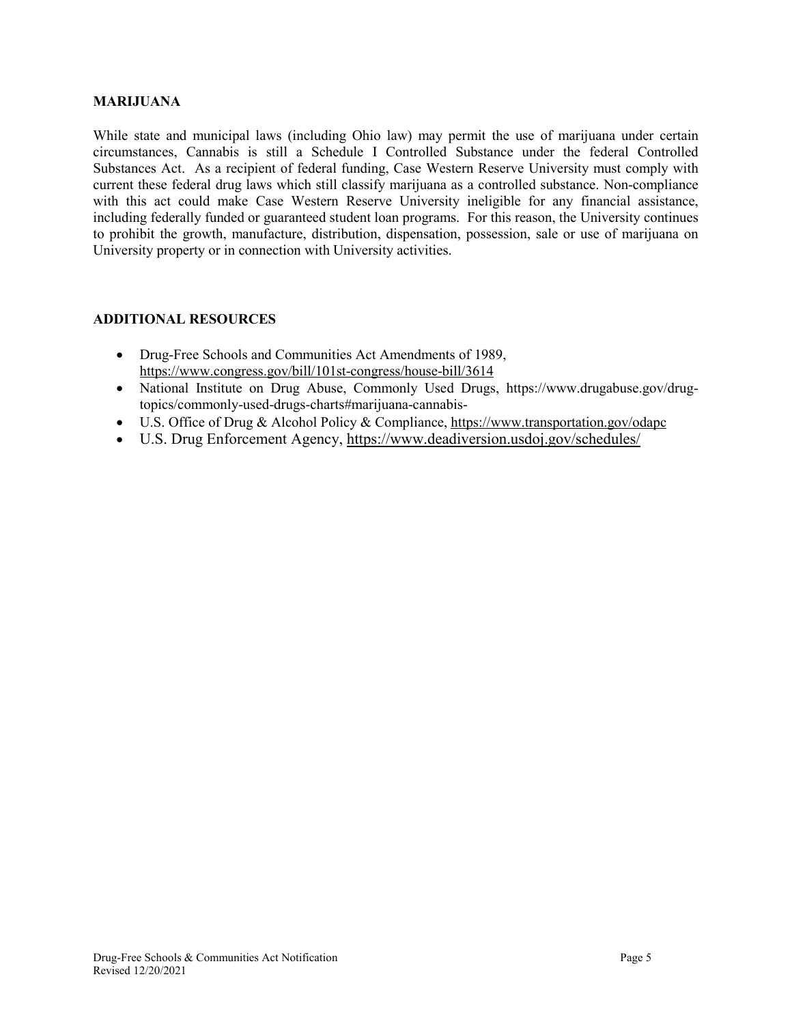#### **MARIJUANA**

While state and municipal laws (including Ohio law) may permit the use of marijuana under certain circumstances, Cannabis is still a Schedule I Controlled Substance under the federal Controlled Substances Act. As a recipient of federal funding, Case Western Reserve University must comply with current these federal drug laws which still classify marijuana as a controlled substance. Non-compliance with this act could make Case Western Reserve University ineligible for any financial assistance, including federally funded or guaranteed student loan programs. For this reason, the University continues to prohibit the growth, manufacture, distribution, dispensation, possession, sale or use of marijuana on University property or in connection with University activities.

#### **ADDITIONAL RESOURCES**

- Drug-Free Schools and Communities Act Amendments of 1989, <https://www.congress.gov/bill/101st-congress/house-bill/3614>
- National Institute on Drug Abuse, Commonly Used Drugs, https://www.drugabuse.gov/drugtopics/commonly-used-drugs-charts#marijuana-cannabis-
- U.S. Office of Drug & Alcohol Policy & Compliance[, https://www.transportation.gov/odapc](https://www.transportation.gov/odapc)
- U.S. Drug Enforcement Agency,<https://www.deadiversion.usdoj.gov/schedules/>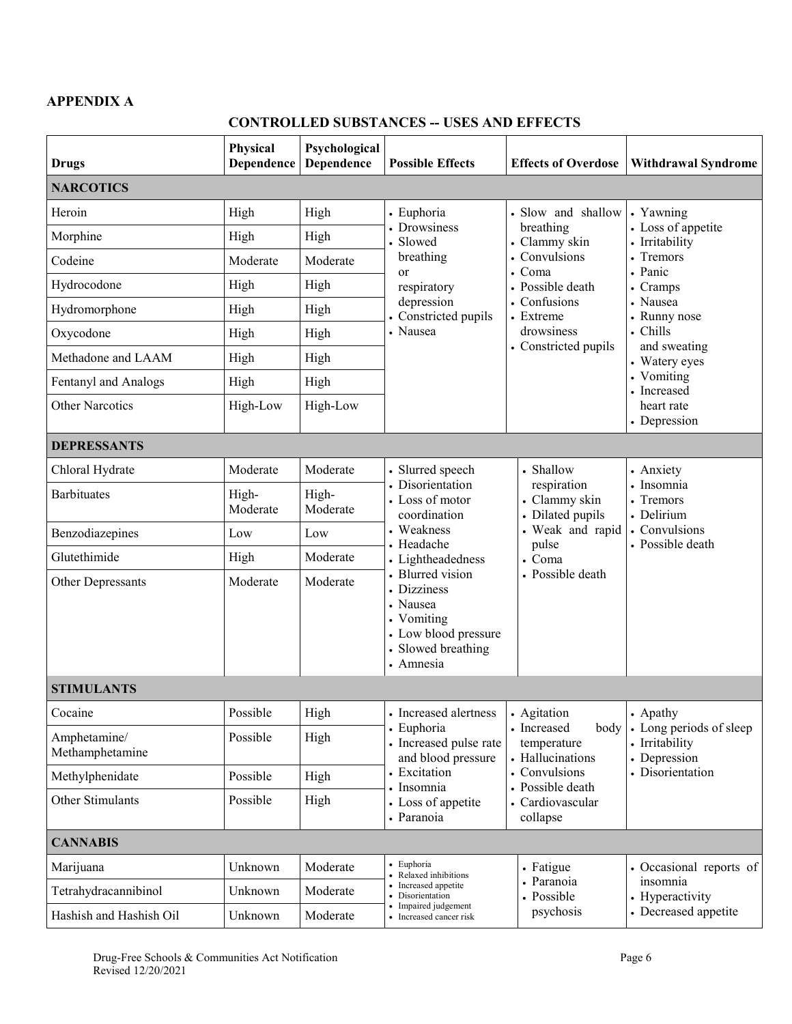## **APPENDIX A**

## **CONTROLLED SUBSTANCES -- USES AND EFFECTS**

| <b>Drugs</b>                    | Physical<br>Dependence | Psychological<br>Dependence | <b>Possible Effects</b>                                                                                                  | <b>Effects of Overdose</b>                                                                                                                                         | <b>Withdrawal Syndrome</b>                                                                                                                                                                                              |
|---------------------------------|------------------------|-----------------------------|--------------------------------------------------------------------------------------------------------------------------|--------------------------------------------------------------------------------------------------------------------------------------------------------------------|-------------------------------------------------------------------------------------------------------------------------------------------------------------------------------------------------------------------------|
| <b>NARCOTICS</b>                |                        |                             |                                                                                                                          |                                                                                                                                                                    |                                                                                                                                                                                                                         |
| Heroin                          | High                   | High                        | • Euphoria<br>• Drowsiness<br>· Slowed<br>breathing<br>or<br>respiratory<br>depression<br>Constricted pupils<br>• Nausea | · Slow and shallow<br>breathing<br>• Clammy skin<br>• Convulsions<br>• Coma<br>• Possible death<br>• Confusions<br>• Extreme<br>drowsiness<br>• Constricted pupils | • Yawning<br>• Loss of appetite<br>• Irritability<br>Tremors<br>• Panic<br>• Cramps<br>• Nausea<br>• Runny nose<br>• Chills<br>and sweating<br>• Watery eyes<br>• Vomiting<br>• Increased<br>heart rate<br>• Depression |
| Morphine                        | High                   | High                        |                                                                                                                          |                                                                                                                                                                    |                                                                                                                                                                                                                         |
| Codeine                         | Moderate               | Moderate                    |                                                                                                                          |                                                                                                                                                                    |                                                                                                                                                                                                                         |
| Hydrocodone                     | High                   | High                        |                                                                                                                          |                                                                                                                                                                    |                                                                                                                                                                                                                         |
| Hydromorphone                   | High                   | High                        |                                                                                                                          |                                                                                                                                                                    |                                                                                                                                                                                                                         |
| Oxycodone                       | High                   | High                        |                                                                                                                          |                                                                                                                                                                    |                                                                                                                                                                                                                         |
| Methadone and LAAM              | High                   | High                        |                                                                                                                          |                                                                                                                                                                    |                                                                                                                                                                                                                         |
| Fentanyl and Analogs            | High                   | High                        |                                                                                                                          |                                                                                                                                                                    |                                                                                                                                                                                                                         |
| <b>Other Narcotics</b>          | High-Low               | High-Low                    |                                                                                                                          |                                                                                                                                                                    |                                                                                                                                                                                                                         |
| <b>DEPRESSANTS</b>              |                        |                             |                                                                                                                          |                                                                                                                                                                    |                                                                                                                                                                                                                         |
| Chloral Hydrate                 | Moderate               | Moderate                    | • Slurred speech<br>• Disorientation<br>• Loss of motor<br>coordination<br>• Weakness<br>· Headache                      | • Shallow<br>respiration<br>• Clammy skin<br>• Dilated pupils<br>. Weak and rapid<br>pulse<br>• Coma<br>• Possible death                                           | • Anxiety<br>• Insomnia<br>• Tremors<br>• Delirium<br>• Convulsions<br>• Possible death                                                                                                                                 |
| <b>Barbituates</b>              | High-<br>Moderate      | High-<br>Moderate           |                                                                                                                          |                                                                                                                                                                    |                                                                                                                                                                                                                         |
| Benzodiazepines                 | Low                    | Low                         |                                                                                                                          |                                                                                                                                                                    |                                                                                                                                                                                                                         |
| Glutethimide                    | High                   | Moderate                    | • Lightheadedness                                                                                                        |                                                                                                                                                                    |                                                                                                                                                                                                                         |
| Other Depressants               | Moderate               | Moderate                    | · Blurred vision<br>• Dizziness<br>• Nausea<br>• Vomiting<br>• Low blood pressure<br>· Slowed breathing<br>• Amnesia     |                                                                                                                                                                    |                                                                                                                                                                                                                         |
| <b>STIMULANTS</b>               |                        |                             |                                                                                                                          |                                                                                                                                                                    |                                                                                                                                                                                                                         |
| Cocaine                         | Possible               | High                        | • Increased alertness                                                                                                    | • Agitation<br>• Increased<br>body<br>temperature<br>• Hallucinations<br>• Convulsions<br>• Possible death<br>• Cardiovascular<br>collapse                         | • Apathy<br>• Long periods of sleep<br>• Irritability<br>• Depression<br>• Disorientation                                                                                                                               |
| Amphetamine/<br>Methamphetamine | Possible               | High                        | • Euphoria<br>• Increased pulse rate<br>and blood pressure<br>• Excitation<br>• Insomnia                                 |                                                                                                                                                                    |                                                                                                                                                                                                                         |
| Methylphenidate                 | Possible               | High                        |                                                                                                                          |                                                                                                                                                                    |                                                                                                                                                                                                                         |
| Other Stimulants                | Possible               | High                        | • Loss of appetite<br>• Paranoia                                                                                         |                                                                                                                                                                    |                                                                                                                                                                                                                         |
| <b>CANNABIS</b>                 |                        |                             |                                                                                                                          |                                                                                                                                                                    |                                                                                                                                                                                                                         |
| Marijuana                       | Unknown                | Moderate                    | • Euphoria<br>• Relaxed inhibitions                                                                                      | • Fatigue<br>• Paranoia<br>• Possible<br>psychosis                                                                                                                 | • Occasional reports of<br>insomnia<br>• Hyperactivity<br>• Decreased appetite                                                                                                                                          |
| Tetrahydracannibinol            | Unknown                | Moderate                    | • Increased appetite<br>· Disorientation                                                                                 |                                                                                                                                                                    |                                                                                                                                                                                                                         |
| Hashish and Hashish Oil         | Unknown                | Moderate                    | • Impaired judgement<br>• Increased cancer risk                                                                          |                                                                                                                                                                    |                                                                                                                                                                                                                         |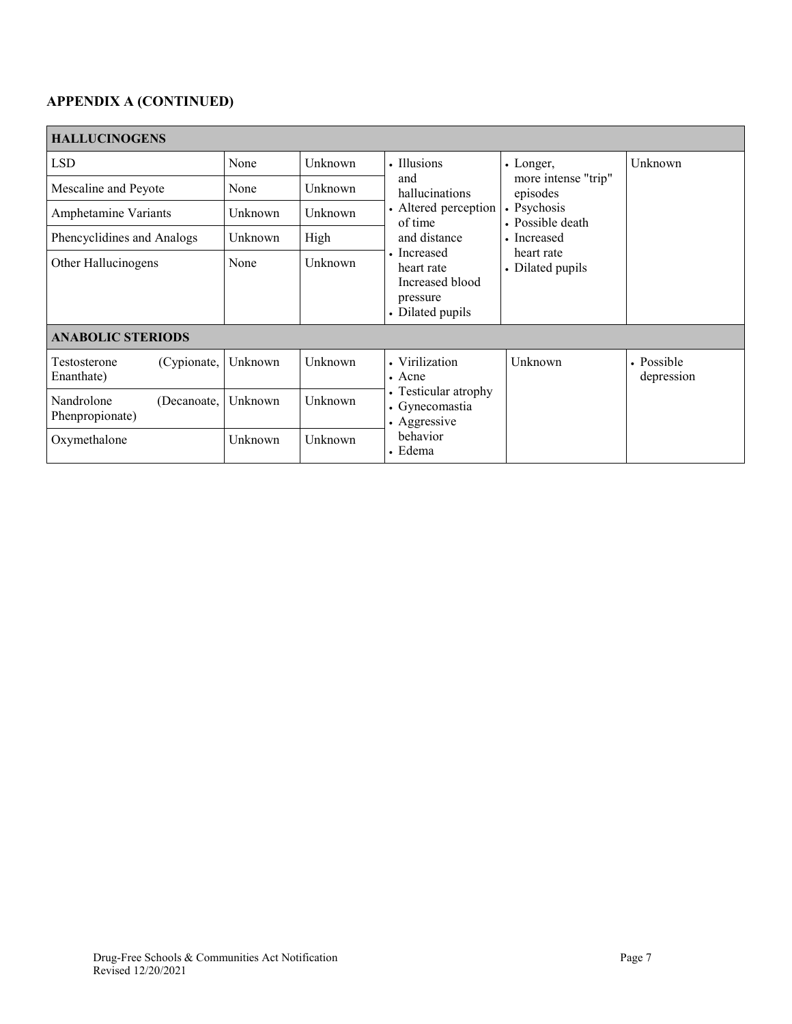# **APPENDIX A (CONTINUED)**

| <b>HALLUCINOGENS</b>                         |         |         |                                                                                            |                                                                                                                                  |                          |  |  |
|----------------------------------------------|---------|---------|--------------------------------------------------------------------------------------------|----------------------------------------------------------------------------------------------------------------------------------|--------------------------|--|--|
| <b>LSD</b>                                   | None    | Unknown | • Illusions                                                                                | • Longer,<br>more intense "trip"<br>episodes<br>• Psychosis<br>• Possible death<br>• Increased<br>heart rate<br>• Dilated pupils | Unknown                  |  |  |
| Mescaline and Peyote                         | None    | Unknown | and<br>hallucinations                                                                      |                                                                                                                                  |                          |  |  |
| Amphetamine Variants                         | Unknown | Unknown | • Altered perception<br>of time                                                            |                                                                                                                                  |                          |  |  |
| Phencyclidines and Analogs                   | Unknown | High    | and distance                                                                               |                                                                                                                                  |                          |  |  |
| Other Hallucinogens                          | None    | Unknown | • Increased<br>heart rate<br>Increased blood<br>pressure<br>• Dilated pupils               |                                                                                                                                  |                          |  |  |
| <b>ANABOLIC STERIODS</b>                     |         |         |                                                                                            |                                                                                                                                  |                          |  |  |
| Testosterone<br>(Cypionate,<br>Enanthate)    | Unknown | Unknown | • Virilization<br>$\bullet$ Acne<br>• Testicular atrophy<br>• Gynecomastia<br>• Aggressive | Unknown                                                                                                                          | • Possible<br>depression |  |  |
| Nandrolone<br>(Decanoate,<br>Phenpropionate) | Unknown | Unknown |                                                                                            |                                                                                                                                  |                          |  |  |
| Oxymethalone                                 | Unknown | Unknown | behavior<br>• Edema                                                                        |                                                                                                                                  |                          |  |  |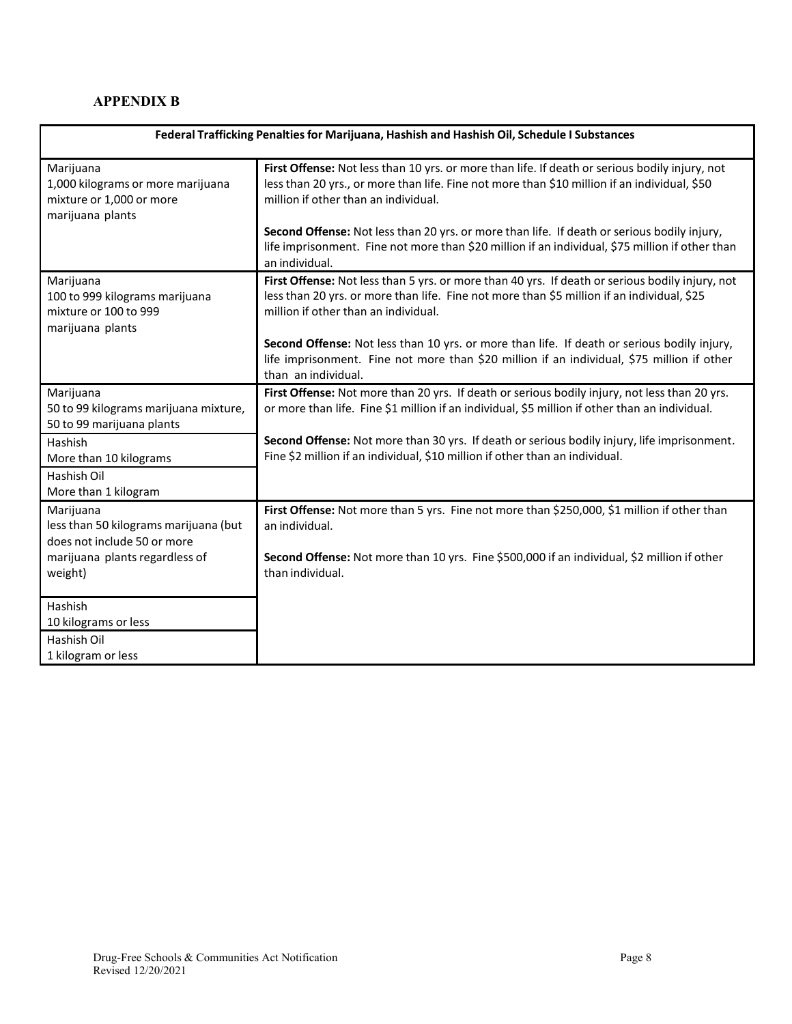## **APPENDIX B**

| Federal Trafficking Penalties for Marijuana, Hashish and Hashish Oil, Schedule I Substances    |                                                                                                                                                                                                                                        |  |  |  |
|------------------------------------------------------------------------------------------------|----------------------------------------------------------------------------------------------------------------------------------------------------------------------------------------------------------------------------------------|--|--|--|
| Marijuana<br>1,000 kilograms or more marijuana<br>mixture or 1,000 or more<br>marijuana plants | First Offense: Not less than 10 yrs. or more than life. If death or serious bodily injury, not<br>less than 20 yrs., or more than life. Fine not more than \$10 million if an individual, \$50<br>million if other than an individual. |  |  |  |
|                                                                                                | Second Offense: Not less than 20 yrs. or more than life. If death or serious bodily injury,<br>life imprisonment. Fine not more than \$20 million if an individual, \$75 million if other than<br>an individual.                       |  |  |  |
| Marijuana<br>100 to 999 kilograms marijuana<br>mixture or 100 to 999<br>marijuana plants       | First Offense: Not less than 5 yrs. or more than 40 yrs. If death or serious bodily injury, not<br>less than 20 yrs. or more than life. Fine not more than \$5 million if an individual, \$25<br>million if other than an individual.  |  |  |  |
|                                                                                                | Second Offense: Not less than 10 yrs. or more than life. If death or serious bodily injury,<br>life imprisonment. Fine not more than \$20 million if an individual, \$75 million if other<br>than an individual.                       |  |  |  |
| Marijuana<br>50 to 99 kilograms marijuana mixture,<br>50 to 99 marijuana plants                | First Offense: Not more than 20 yrs. If death or serious bodily injury, not less than 20 yrs.<br>or more than life. Fine \$1 million if an individual, \$5 million if other than an individual.                                        |  |  |  |
| Hashish<br>More than 10 kilograms<br>Hashish Oil                                               | Second Offense: Not more than 30 yrs. If death or serious bodily injury, life imprisonment.<br>Fine \$2 million if an individual, \$10 million if other than an individual.                                                            |  |  |  |
| More than 1 kilogram                                                                           |                                                                                                                                                                                                                                        |  |  |  |
| Marijuana<br>less than 50 kilograms marijuana (but<br>does not include 50 or more              | First Offense: Not more than 5 yrs. Fine not more than \$250,000, \$1 million if other than<br>an individual.                                                                                                                          |  |  |  |
| marijuana plants regardless of<br>weight)                                                      | Second Offense: Not more than 10 yrs. Fine \$500,000 if an individual, \$2 million if other<br>than individual.                                                                                                                        |  |  |  |
| Hashish                                                                                        |                                                                                                                                                                                                                                        |  |  |  |
| 10 kilograms or less<br>Hashish Oil                                                            |                                                                                                                                                                                                                                        |  |  |  |
| 1 kilogram or less                                                                             |                                                                                                                                                                                                                                        |  |  |  |